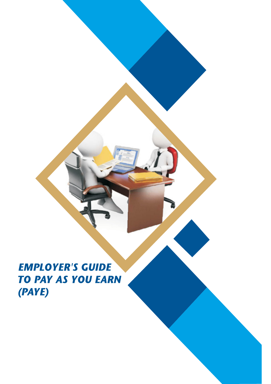**EMPLOYER'S GUIDE TO PAY AS YOU EARN** (PAYE)

Employer's Guide 2021 1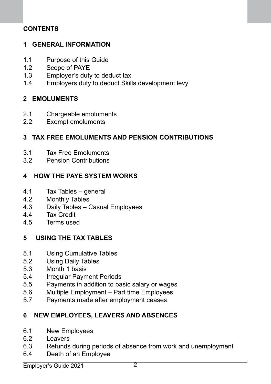## **CONTENTS**

## **1 GENERAL INFORMATION**

- 1.1 Purpose of this Guide
- 1.2 Scope of PAYE
- 1.3 Employer's duty to deduct tax
- 1.4 Employers duty to deduct Skills development levy

### **2 EMOLUMENTS**

- 2.1 Chargeable emoluments
- 2.2 Exempt emoluments

### **3 TAX FREE EMOLUMENTS AND PENSION CONTRIBUTIONS**

- 3.1 Tax Free Emoluments
- 3.2 Pension Contributions

### **4 HOW THE PAYE SYSTEM WORKS**

- 4.1 Tax Tables general
- 4.2 Monthly Tables
- 4.3 Daily Tables Casual Employees
- 4.4 Tax Credit<br>4.5 Terms used
- Terms used

#### **5 USING THE TAX TABLES**

- 5.1 Using Cumulative Tables<br>5.2 Using Daily Tables
- 5.2 Using Daily Tables<br>5.3 Month 1 basis
- Month 1 basis
- 5.4 Irregular Payment Periods
- 5.5 Payments in addition to basic salary or wages
- 5.6 Multiple Employment Part time Employees
- 5.7 Payments made after employment ceases

## **6 NEW EMPLOYEES, LEAVERS AND ABSENCES**

- 6.1 New Employees
- 6.2 Leavers
- 6.3 Refunds during periods of absence from work and unemployment
- 6.4 Death of an Employee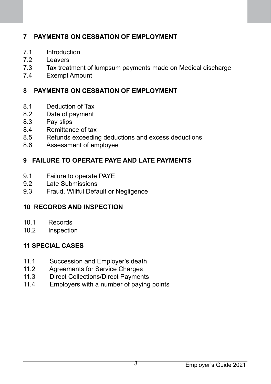# **7 PAYMENTS ON CESSATION OF EMPLOYMENT**

- 7.1 Introduction
- 7.2 Leavers<br>7.3 Tax treat
- Tax treatment of lumpsum payments made on Medical discharge
- 7.4 Exempt Amount

## **8 PAYMENTS ON CESSATION OF EMPLOYMENT**

- 8.1 Deduction of Tax
- 8.2 Date of payment
- 8.3 Pay slips
- 8.4 Remittance of tax<br>8.5 Refunds exceedin
- 8.5 Refunds exceeding deductions and excess deductions<br>8.6 Assessment of employee
- Assessment of employee

## **9 FAILURE TO OPERATE PAYE AND LATE PAYMENTS**

- 9.1 Failure to operate PAYE
- 9.2 Late Submissions
- 9.3 Fraud, Willful Default or Negligence

## **10 RECORDS AND INSPECTION**

- 10.1 Records
- 10.2 Inspection

## **11 SPECIAL CASES**

- 11.1 Succession and Employer's death<br>11.2 Agreements for Service Charges
- 11.2 Agreements for Service Charges<br>11.3 Direct Collections/Direct Paymen
- 11.3 Direct Collections/Direct Payments<br>11.4 Employers with a number of paying
- Employers with a number of paying points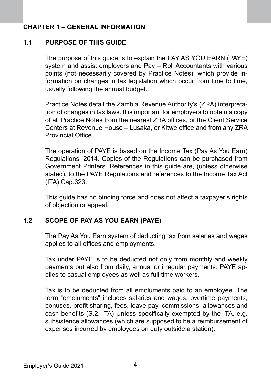## **CHAPTER 1 – GENERAL INFORMATION**

## **1.1 PURPOSE OF THIS GUIDE**

The purpose of this guide is to explain the PAY AS YOU EARN (PAYE) system and assist employers and Pay – Roll Accountants with various points (not necessarily covered by Practice Notes), which provide information on changes in tax legislation which occur from time to time, usually following the annual budget.

Practice Notes detail the Zambia Revenue Authority's (ZRA) interpretation of changes in tax laws. It is important for employers to obtain a copy of all Practice Notes from the nearest ZRA offices, or the Client Service Centers at Revenue House – Lusaka, or Kitwe office and from any ZRA Provincial Office.

The operation of PAYE is based on the Income Tax (Pay As You Earn) Regulations, 2014. Copies of the Regulations can be purchased from Government Printers. References in this guide are, (unless otherwise stated), to the PAYE Regulations and references to the Income Tax Act (ITA) Cap.323.

This guide has no binding force and does not affect a taxpayer's rights of objection or appeal.

## **1.2 SCOPE OF PAY AS YOU EARN (PAYE)**

The Pay As You Earn system of deducting tax from salaries and wages applies to all offices and employments.

Tax under PAYE is to be deducted not only from monthly and weekly payments but also from daily, annual or irregular payments. PAYE applies to casual employees as well as full time workers.

Tax is to be deducted from all emoluments paid to an employee. The term "emoluments" includes salaries and wages, overtime payments, bonuses, profit sharing, fees, leave pay, commissions, allowances and cash benefits (S.2. ITA) Unless specifically exempted by the ITA, e.g. subsistence allowances (which are supposed to be a reimbursement of expenses incurred by employees on duty outside a station).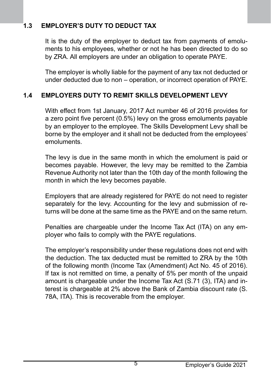# **1.3 EMPLOYER'S DUTY TO DEDUCT TAX**

It is the duty of the employer to deduct tax from payments of emoluments to his employees, whether or not he has been directed to do so by ZRA. All employers are under an obligation to operate PAYE.

The employer is wholly liable for the payment of any tax not deducted or under deducted due to non – operation, or incorrect operation of PAYE.

### **1.4 EMPLOYERS DUTY TO REMIT SKILLS DEVELOPMENT LEVY**

 With effect from 1st January, 2017 Act number 46 of 2016 provides for a zero point five percent (0.5%) levy on the gross emoluments payable by an employer to the employee. The Skills Development Levy shall be borne by the employer and it shall not be deducted from the employees' emoluments.

 The levy is due in the same month in which the emolument is paid or becomes payable. However, the levy may be remitted to the Zambia Revenue Authority not later than the 10th day of the month following the month in which the levy becomes payable.

Employers that are already registered for PAYE do not need to register separately for the levy. Accounting for the levy and submission of returns will be done at the same time as the PAYE and on the same return.

Penalties are chargeable under the Income Tax Act (ITA) on any employer who fails to comply with the PAYE regulations.

The employer's responsibility under these regulations does not end with the deduction. The tax deducted must be remitted to ZRA by the 10th of the following month (Income Tax (Amendment) Act No. 45 of 2016). If tax is not remitted on time, a penalty of 5% per month of the unpaid amount is chargeable under the Income Tax Act (S.71 (3), ITA) and interest is chargeable at 2% above the Bank of Zambia discount rate (S. 78A, ITA). This is recoverable from the employer.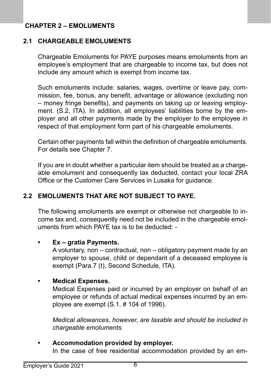## **CHAPTER 2 – EMOLUMENTS**

#### **2.1 CHARGEABLE EMOLUMENTS**

Chargeable Emoluments for PAYE purposes means emoluments from an employee's employment that are chargeable to income tax, but does not include any amount which is exempt from income tax.

Such emoluments include: salaries, wages, overtime or leave pay, commission, fee, bonus, any benefit, advantage or allowance (excluding non – money fringe benefits), and payments on taking up or leaving employment. (S.2, ITA). In addition, all employees' liabilities borne by the employer and all other payments made by the employer to the employee in respect of that employment form part of his chargeable emoluments.

Certain other payments fall within the definition of chargeable emoluments. For details see Chapter 7.

If you are in doubt whether a particular item should be treated as a chargeable emolument and consequently tax deducted, contact your local ZRA Office or the Customer Care Services in Lusaka for guidance.

#### **2.2 EMOLUMENTS THAT ARE NOT SUBJECT TO PAYE.**

The following emoluments are exempt or otherwise not chargeable to income tax and, consequently need not be included in the chargeable emoluments from which PAYE tax is to be deducted: -

#### **Ex** – gratia Payments.

A voluntary, non – contractual, non – obligatory payment made by an employer to spouse, child or dependant of a deceased employee is exempt (Para.7 (t), Second Schedule, ITA).

#### **• Medical Expenses.**

Medical Expenses paid or incurred by an employer on behalf of an employee or refunds of actual medical expenses incurred by an employee are exempt (S.1. # 104 of 1996).

*Medical allowances, however, are taxable and should be included in chargeable emoluments.*

## **• Accommodation provided by employer.**

In the case of free residential accommodation provided by an em-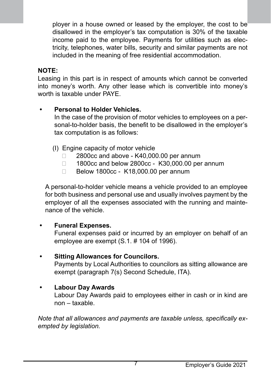ployer in a house owned or leased by the employer, the cost to be disallowed in the employer's tax computation is 30% of the taxable income paid to the employee. Payments for utilities such as electricity, telephones, water bills, security and similar payments are not included in the meaning of free residential accommodation.

#### **NOTE:**

Leasing in this part is in respect of amounts which cannot be converted into money's worth. Any other lease which is convertible into money's worth is taxable under PAYE.

### **Personal to Holder Vehicles.**

In the case of the provision of motor vehicles to employees on a personal-to-holder basis, the benefit to be disallowed in the employer's tax computation is as follows:

- (I) Engine capacity of motor vehicle
	- □ 2800cc and above K40,000.00 per annum
	- □ 1800cc and below 2800cc K30,000.00 per annum
	- □ Below 1800cc K18,000.00 per annum

A personal-to-holder vehicle means a vehicle provided to an employee for both business and personal use and usually involves payment by the employer of all the expenses associated with the running and maintenance of the vehicle.

#### **Funeral Expenses.**

Funeral expenses paid or incurred by an employer on behalf of an employee are exempt (S.1. # 104 of 1996).

#### **• Sitting Allowances for Councilors.**

Payments by Local Authorities to councilors as sitting allowance are exempt (paragraph 7(s) Second Schedule, ITA).

#### **Labour Day Awards**

Labour Day Awards paid to employees either in cash or in kind are non – taxable.

*Note that all allowances and payments are taxable unless, specifically exempted by legislation.*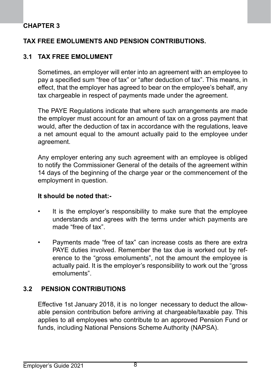## **CHAPTER 3**

#### **TAX FREE EMOLUMENTS AND PENSION CONTRIBUTIONS.**

#### **3.1 TAX FREE EMOLUMENT**

Sometimes, an employer will enter into an agreement with an employee to pay a specified sum "free of tax" or "after deduction of tax". This means, in effect, that the employer has agreed to bear on the employee's behalf, any tax chargeable in respect of payments made under the agreement.

The PAYE Regulations indicate that where such arrangements are made the employer must account for an amount of tax on a gross payment that would, after the deduction of tax in accordance with the regulations, leave a net amount equal to the amount actually paid to the employee under agreement.

Any employer entering any such agreement with an employee is obliged to notify the Commissioner General of the details of the agreement within 14 days of the beginning of the charge year or the commencement of the employment in question.

#### **It should be noted that:-**

- It is the employer's responsibility to make sure that the employee understands and agrees with the terms under which payments are made "free of tax".
- Payments made "free of tax" can increase costs as there are extra PAYE duties involved. Remember the tax due is worked out by reference to the "gross emoluments", not the amount the employee is actually paid. It is the employer's responsibility to work out the "gross emoluments".

#### **3.2 PENSION CONTRIBUTIONS**

Effective 1st January 2018, it is no longer necessary to deduct the allowable pension contribution before arriving at chargeable/taxable pay. This applies to all employees who contribute to an approved Pension Fund or funds, including National Pensions Scheme Authority (NAPSA).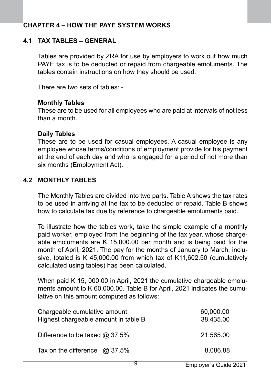### **CHAPTER 4 – HOW THE PAYE SYSTEM WORKS**

### **4.1 TAX TABLES – GENERAL**

Tables are provided by ZRA for use by employers to work out how much PAYE tax is to be deducted or repaid from chargeable emoluments. The tables contain instructions on how they should be used.

There are two sets of tables: -

#### **Monthly Tables**

These are to be used for all employees who are paid at intervals of not less than a month.

#### **Daily Tables**

These are to be used for casual employees. A casual employee is any employee whose terms/conditions of employment provide for his payment at the end of each day and who is engaged for a period of not more than six months (Employment Act).

#### **4.2 MONTHLY TABLES**

The Monthly Tables are divided into two parts. Table A shows the tax rates to be used in arriving at the tax to be deducted or repaid. Table B shows how to calculate tax due by reference to chargeable emoluments paid.

To illustrate how the tables work, take the simple example of a monthly paid worker, employed from the beginning of the tax year, whose chargeable emoluments are K 15,000.00 per month and is being paid for the month of April, 2021. The pay for the months of January to March, inclusive, totaled is K 45,000.00 from which tax of K11,602.50 (cumulatively calculated using tables) has been calculated.

When paid K 15, 000.00 in April, 2021 the cumulative chargeable emoluments amount to K 60,000.00. Table B for April, 2021 indicates the cumulative on this amount computed as follows:

| Chargeable cumulative amount<br>Highest chargeable amount in table B | 60,000.00<br>38,435.00 |
|----------------------------------------------------------------------|------------------------|
| Difference to be taxed $@37.5\%$                                     | 21.565.00              |
| Tax on the difference $\omega$ 37.5%                                 | 8.086.88               |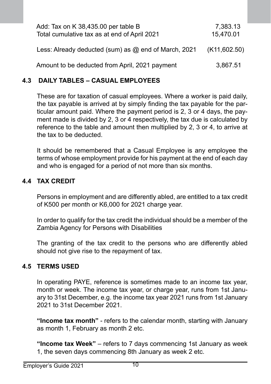| Add: Tax on K 38,435.00 per table B<br>Total cumulative tax as at end of April 2021 | 7,383.13<br>15,470.01 |
|-------------------------------------------------------------------------------------|-----------------------|
| Less: Already deducted (sum) as @ end of March, 2021                                | (K11,602.50)          |
| Amount to be deducted from April, 2021 payment                                      | 3.867.51              |

#### **4.3 DAILY TABLES – CASUAL EMPLOYEES**

These are for taxation of casual employees. Where a worker is paid daily, the tax payable is arrived at by simply finding the tax payable for the particular amount paid. Where the payment period is 2, 3 or 4 days, the payment made is divided by 2, 3 or 4 respectively, the tax due is calculated by reference to the table and amount then multiplied by 2, 3 or 4, to arrive at the tax to be deducted.

It should be remembered that a Casual Employee is any employee the terms of whose employment provide for his payment at the end of each day and who is engaged for a period of not more than six months.

#### **4.4 TAX CREDIT**

Persons in employment and are differently abled, are entitled to a tax credit of K500 per month or K6,000 for 2021 charge year.

In order to qualify for the tax credit the individual should be a member of the Zambia Agency for Persons with Disabilities

The granting of the tax credit to the persons who are differently abled should not give rise to the repayment of tax.

#### **4.5 TERMS USED**

In operating PAYE, reference is sometimes made to an income tax year, month or week. The income tax year, or charge year, runs from 1st January to 31st December, e.g. the income tax year 2021 runs from 1st January 2021 to 31st December 2021.

**"Income tax month"** - refers to the calendar month, starting with January as month 1, February as month 2 etc.

**"Income tax Week"** – refers to 7 days commencing 1st January as week 1, the seven days commencing 8th January as week 2 etc.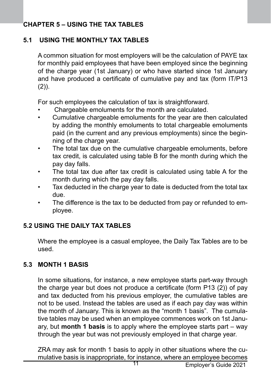## **CHAPTER 5 – USING THE TAX TABLES**

## **5.1 USING THE MONTHLY TAX TABLES**

A common situation for most employers will be the calculation of PAYE tax for monthly paid employees that have been employed since the beginning of the charge year (1st January) or who have started since 1st January and have produced a certificate of cumulative pay and tax (form IT/P13  $(2)$ ).

For such employees the calculation of tax is straightforward.

- Chargeable emoluments for the month are calculated.
- Cumulative chargeable emoluments for the year are then calculated by adding the monthly emoluments to total chargeable emoluments paid (in the current and any previous employments) since the beginning of the charge year.
- The total tax due on the cumulative chargeable emoluments, before tax credit, is calculated using table B for the month during which the pay day falls.
- The total tax due after tax credit is calculated using table A for the month during which the pay day falls.
- Tax deducted in the charge year to date is deducted from the total tax due.
- The difference is the tax to be deducted from pay or refunded to employee.

## **5.2 USING THE DAILY TAX TABLES**

Where the employee is a casual employee, the Daily Tax Tables are to be used.

## **5.3 MONTH 1 BASIS**

In some situations, for instance, a new employee starts part-way through the charge year but does not produce a certificate (form P13 (2)) of pay and tax deducted from his previous employer, the cumulative tables are not to be used. Instead the tables are used as if each pay day was within the month of January. This is known as the "month 1 basis". The cumulative tables may be used when an employee commences work on 1st January, but **month 1 basis** is to apply where the employee starts part – way through the year but was not previously employed in that charge year.

ZRA may ask for month 1 basis to apply in other situations where the cumulative basis is inappropriate, for instance, where an employee becomes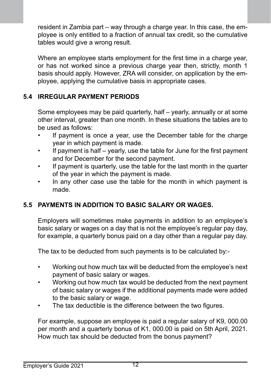resident in Zambia part – way through a charge year. In this case, the employee is only entitled to a fraction of annual tax credit, so the cumulative tables would give a wrong result.

Where an employee starts employment for the first time in a charge year. or has not worked since a previous charge year then, strictly, month 1 basis should apply. However, ZRA will consider, on application by the employee, applying the cumulative basis in appropriate cases.

## **5.4 IRREGULAR PAYMENT PERIODS**

Some employees may be paid quarterly, half – yearly, annually or at some other interval, greater than one month. In these situations the tables are to be used as follows:

- If payment is once a year, use the December table for the charge year in which payment is made.
- If payment is half yearly, use the table for June for the first payment and for December for the second payment.
- If payment is quarterly, use the table for the last month in the quarter of the year in which the payment is made.
- In any other case use the table for the month in which payment is made.

## **5.5 PAYMENTS IN ADDITION TO BASIC SALARY OR WAGES.**

Employers will sometimes make payments in addition to an employee's basic salary or wages on a day that is not the employee's regular pay day, for example, a quarterly bonus paid on a day other than a regular pay day.

The tax to be deducted from such payments is to be calculated by:-

- Working out how much tax will be deducted from the employee's next payment of basic salary or wages.
- Working out how much tax would be deducted from the next payment of basic salary or wages if the additional payments made were added to the basic salary or wage.
- The tax deductible is the difference between the two figures.

For example, suppose an employee is paid a regular salary of K9, 000.00 per month and a quarterly bonus of K1, 000.00 is paid on 5th April, 2021. How much tax should be deducted from the bonus payment?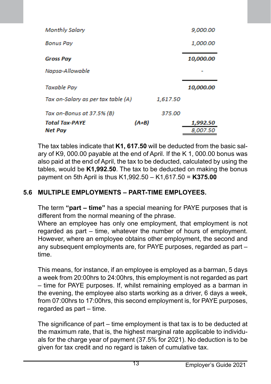| Monthly Salary                     |         |          | 9,000.00  |
|------------------------------------|---------|----------|-----------|
| <b>Bonus Pav</b>                   |         |          | 1,000.00  |
| <b>Gross Pay</b>                   |         |          | 10,000.00 |
| Napsa-Allowable                    |         |          |           |
| Taxable Pay                        |         |          | 10,000.00 |
| Tax on-Salary as per tax table (A) |         | 1,617.50 |           |
| Tax on-Bonus at 37.5% (B)          |         | 375.00   |           |
| <b>Total Tax-PAYE</b>              | $(A+B)$ |          | 1,992.50  |
| Net Pay                            |         |          | 8.007.50  |

The tax tables indicate that **K1, 617.50** will be deducted from the basic salary of K9, 000.00 payable at the end of April. If the K 1, 000.00 bonus was also paid at the end of April, the tax to be deducted, calculated by using the tables, would be **K1,992.50**. The tax to be deducted on making the bonus payment on 5th April is thus K1,992.50 – K1,617.50 = **K375.00**

# **5.6 MULTIPLE EMPLOYMENTS – PART-TIME EMPLOYEES.**

The term **"part – time"** has a special meaning for PAYE purposes that is different from the normal meaning of the phrase.

Where an employee has only one employment, that employment is not regarded as part – time, whatever the number of hours of employment. However, where an employee obtains other employment, the second and any subsequent employments are, for PAYE purposes, regarded as part – time.

This means, for instance, if an employee is employed as a barman, 5 days a week from 20:00hrs to 24:00hrs, this employment is not regarded as part – time for PAYE purposes. If, whilst remaining employed as a barman in the evening, the employee also starts working as a driver, 6 days a week, from 07:00hrs to 17:00hrs, this second employment is, for PAYE purposes, regarded as part – time.

The significance of part – time employment is that tax is to be deducted at the maximum rate, that is, the highest marginal rate applicable to individuals for the charge year of payment (37.5% for 2021). No deduction is to be given for tax credit and no regard is taken of cumulative tax.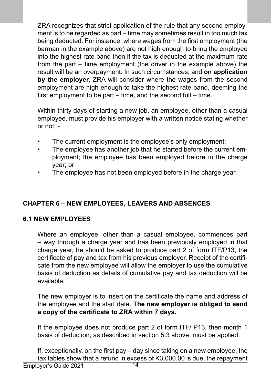ZRA recognizes that strict application of the rule that any second employment is to be regarded as part – time may sometimes result in too much tax being deducted. For instance, where wages from the first employment (the barman in the example above) are not high enough to bring the employee into the highest rate band then if the tax is deducted at the maximum rate from the part – time employment (the driver in the example above) the result will be an overpayment. In such circumstances, and **on application by the employer,** ZRA will consider where the wages from the second employment are high enough to take the highest rate band, deeming the first employment to be part – time, and the second full – time.

Within thirty days of starting a new job, an employee, other than a casual employee, must provide his employer with a written notice stating whether or not: -

- The current employment is the employee's only employment:
- The employee has another job that he started before the current employment; the employee has been employed before in the charge year; or
- The employee has not been employed before in the charge year.

# **CHAPTER 6 – NEW EMPLOYEES, LEAVERS AND ABSENCES**

## **6.1 NEW EMPLOYEES**

Where an employee, other than a casual employee, commences part – way through a charge year and has been previously employed in that charge year, he should be asked to produce part 2 of form ITF/P13, the certificate of pay and tax from his previous employer. Receipt of the certificate from the new employee will allow the employer to use the cumulative basis of deduction as details of cumulative pay and tax deduction will be available.

The new employer is to insert on the certificate the name and address of the employee and the start date. **The new employer is obliged to send a copy of the certificate to ZRA within 7 days.**

If the employee does not produce part 2 of form ITF/ P13, then month 1 basis of deduction, as described in section 5.3 above, must be applied.

If, exceptionally, on the first pay – day since taking on a new employee, the tax tables show that a refund in excess of K3,000.00 is due, the repayment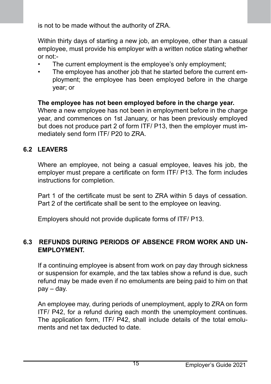is not to be made without the authority of ZRA.

Within thirty days of starting a new job, an employee, other than a casual employee, must provide his employer with a written notice stating whether or not:-

- The current employment is the employee's only employment:
- The employee has another job that he started before the current employment; the employee has been employed before in the charge year; or

### **The employee has not been employed before in the charge year.**

Where a new employee has not been in employment before in the charge year, and commences on 1st January, or has been previously employed but does not produce part 2 of form ITF/ P13, then the employer must immediately send form ITF/ P20 to ZRA.

## **6.2 LEAVERS**

Where an employee, not being a casual employee, leaves his job, the employer must prepare a certificate on form ITF/ P13. The form includes instructions for completion.

Part 1 of the certificate must be sent to ZRA within 5 days of cessation. Part 2 of the certificate shall be sent to the employee on leaving.

Employers should not provide duplicate forms of ITF/ P13.

### **6.3 REFUNDS DURING PERIODS OF ABSENCE FROM WORK AND UN-EMPLOYMENT.**

If a continuing employee is absent from work on pay day through sickness or suspension for example, and the tax tables show a refund is due, such refund may be made even if no emoluments are being paid to him on that pay – day.

An employee may, during periods of unemployment, apply to ZRA on form ITF/ P42, for a refund during each month the unemployment continues. The application form, ITF/ P42, shall include details of the total emoluments and net tax deducted to date.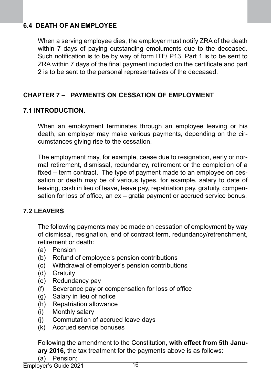# **6.4 DEATH OF AN EMPLOYEE**

When a serving employee dies, the employer must notify ZRA of the death within 7 days of paying outstanding emoluments due to the deceased. Such notification is to be by way of form ITF/ P13. Part 1 is to be sent to ZRA within 7 days of the final payment included on the certificate and part 2 is to be sent to the personal representatives of the deceased.

## **CHAPTER 7 – PAYMENTS ON CESSATION OF EMPLOYMENT**

#### **7.1 INTRODUCTION.**

When an employment terminates through an employee leaving or his death, an employer may make various payments, depending on the circumstances giving rise to the cessation.

The employment may, for example, cease due to resignation, early or normal retirement, dismissal, redundancy, retirement or the completion of a fixed – term contract. The type of payment made to an employee on cessation or death may be of various types, for example, salary to date of leaving, cash in lieu of leave, leave pay, repatriation pay, gratuity, compensation for loss of office, an ex – gratia payment or accrued service bonus.

#### **7.2 LEAVERS**

The following payments may be made on cessation of employment by way of dismissal, resignation, end of contract term, redundancy/retrenchment, retirement or death:

- (a) Pension
- (b) Refund of employee's pension contributions
- (c) Withdrawal of employer's pension contributions
- (d) Gratuity
- (e) Redundancy pay
- (f) Severance pay or compensation for loss of office
- (g) Salary in lieu of notice
- (h) Repatriation allowance
- (i) Monthly salary
- (j) Commutation of accrued leave days
- (k) Accrued service bonuses

Following the amendment to the Constitution, **with effect from 5th January 2016**, the tax treatment for the payments above is as follows:

(a) Pension;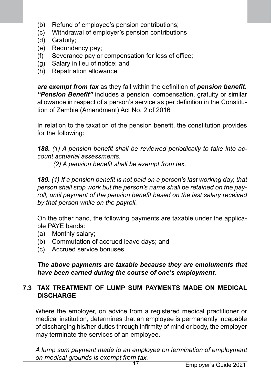- (b) Refund of employee's pension contributions;
- (c) Withdrawal of employer's pension contributions
- Gratuity:
- (e) Redundancy pay;
- (f) Severance pay or compensation for loss of office;
- (g) Salary in lieu of notice; and
- (h) Repatriation allowance

*are exempt from tax* as they fall within the definition of *pension benefit*. *"Pension Benefit"* includes a pension, compensation, gratuity or similar allowance in respect of a person's service as per definition in the Constitution of Zambia (Amendment) Act No. 2 of 2016

In relation to the taxation of the pension benefit, the constitution provides for the following:

*188. (1) A pension benefit shall be reviewed periodically to take into account actuarial assessments.*

 *(2) A pension benefit shall be exempt from tax.*

*189. (1) If a pension benefit is not paid on a person's last working day, that person shall stop work but the person's name shall be retained on the payroll, until payment of the pension benefit based on the last salary received by that person while on the payroll.* 

On the other hand, the following payments are taxable under the applicable PAYE bands:

- (a) Monthly salary;
- (b) Commutation of accrued leave days; and
- (c) Accrued service bonuses

*The above payments are taxable because they are emoluments that have been earned during the course of one's employment.* 

## **7.3 TAX TREATMENT OF LUMP SUM PAYMENTS MADE ON MEDICAL DISCHARGE**

Where the employer, on advice from a registered medical practitioner or medical institution, determines that an employee is permanently incapable of discharging his/her duties through infirmity of mind or body, the employer may terminate the services of an employee.

*A lump sum payment made to an employee on termination of employment on medical grounds is exempt from tax.*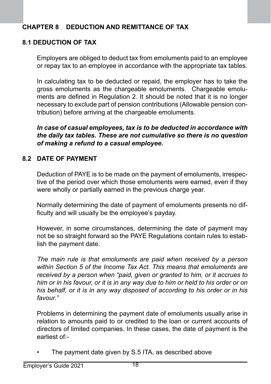## **CHAPTER 8 DEDUCTION AND REMITTANCE OF TAX**

## **8.1 DEDUCTION OF TAX**

Employers are obliged to deduct tax from emoluments paid to an employee or repay tax to an employee in accordance with the appropriate tax tables.

In calculating tax to be deducted or repaid, the employer has to take the gross emoluments as the chargeable emoluments. Chargeable emoluments are defined in Regulation 2. It should be noted that it is no longer necessary to exclude part of pension contributions (Allowable pension contribution) before arriving at the chargeable emoluments.

*In case of casual employees, tax is to be deducted in accordance with the daily tax tables. These are not cumulative so there is no question of making a refund to a casual employee.*

### **8.2 DATE OF PAYMENT**

Deduction of PAYE is to be made on the payment of emoluments, irrespective of the period over which those emoluments were earned, even if they were wholly or partially earned in the previous charge year.

Normally determining the date of payment of emoluments presents no difficulty and will usually be the employee's payday.

However, in some circumstances, determining the date of payment may not be so straight forward so the PAYE Regulations contain rules to establish the payment date.

*The main rule is that emoluments are paid when received by a person within Section 5 of the Income Tax Act. This means that emoluments are received by a person when "paid, given or granted to him, or it accrues to him or in his favour, or it is in any way due to him or held to his order or on his behalf, or it is in any way disposed of according to his order or in his favour."*

Problems in determining the payment date of emoluments usually arise in relation to amounts paid to or credited to the loan or current accounts of directors of limited companies. In these cases, the date of payment is the earliest of:-

The payment date given by S.5 ITA, as described above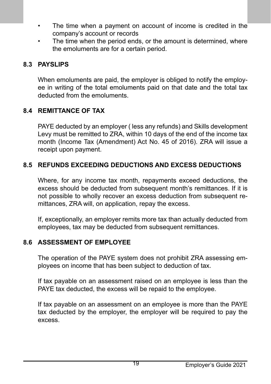- The time when a payment on account of income is credited in the company's account or records
- The time when the period ends, or the amount is determined, where the emoluments are for a certain period.

## **8.3 PAYSLIPS**

When emoluments are paid, the employer is obliged to notify the employee in writing of the total emoluments paid on that date and the total tax deducted from the emoluments.

## **8.4 REMITTANCE OF TAX**

PAYE deducted by an employer ( less any refunds) and Skills development Levy must be remitted to ZRA, within 10 days of the end of the income tax month (Income Tax (Amendment) Act No. 45 of 2016). ZRA will issue a receipt upon payment.

## **8.5 REFUNDS EXCEEDING DEDUCTIONS AND EXCESS DEDUCTIONS**

Where, for any income tax month, repayments exceed deductions, the excess should be deducted from subsequent month's remittances. If it is not possible to wholly recover an excess deduction from subsequent remittances, ZRA will, on application, repay the excess.

If, exceptionally, an employer remits more tax than actually deducted from employees, tax may be deducted from subsequent remittances.

## **8.6 ASSESSMENT OF EMPLOYEE**

The operation of the PAYE system does not prohibit ZRA assessing employees on income that has been subject to deduction of tax.

If tax payable on an assessment raised on an employee is less than the PAYE tax deducted, the excess will be repaid to the employee.

If tax payable on an assessment on an employee is more than the PAYE tax deducted by the employer, the employer will be required to pay the excess.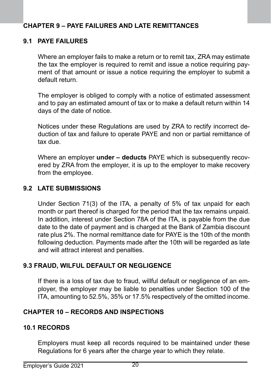# **CHAPTER 9 – PAYE FAILURES AND LATE REMITTANCES**

#### **9.1 PAYE FAILURES**

Where an employer fails to make a return or to remit tax, ZRA may estimate the tax the employer is required to remit and issue a notice requiring payment of that amount or issue a notice requiring the employer to submit a default return.

The employer is obliged to comply with a notice of estimated assessment and to pay an estimated amount of tax or to make a default return within 14 days of the date of notice.

Notices under these Regulations are used by ZRA to rectify incorrect deduction of tax and failure to operate PAYE and non or partial remittance of tax due.

Where an employer **under – deducts** PAYE which is subsequently recovered by ZRA from the employer, it is up to the employer to make recovery from the employee.

#### **9.2 LATE SUBMISSIONS**

Under Section 71(3) of the ITA, a penalty of 5% of tax unpaid for each month or part thereof is charged for the period that the tax remains unpaid. In addition, interest under Section 78A of the ITA, is payable from the due date to the date of payment and is charged at the Bank of Zambia discount rate plus 2%. The normal remittance date for PAYE is the 10th of the month following deduction. Payments made after the 10th will be regarded as late and will attract interest and penalties.

#### **9.3 FRAUD, WILFUL DEFAULT OR NEGLIGENCE**

If there is a loss of tax due to fraud, willful default or negligence of an employer, the employer may be liable to penalties under Section 100 of the ITA, amounting to 52.5%, 35% or 17.5% respectively of the omitted income.

#### **CHAPTER 10 – RECORDS AND INSPECTIONS**

#### **10.1 RECORDS**

Employers must keep all records required to be maintained under these Regulations for 6 years after the charge year to which they relate.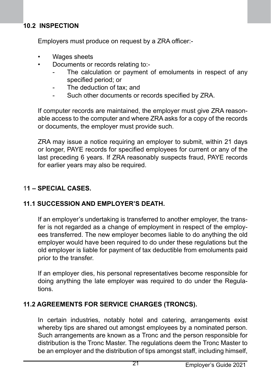## **10.2 INSPECTION**

Employers must produce on request by a ZRA officer:-

- Wages sheets
- Documents or records relating to:-
	- The calculation or payment of emoluments in respect of any specified period; or
	- The deduction of tax; and
	- Such other documents or records specified by ZRA.

If computer records are maintained, the employer must give ZRA reasonable access to the computer and where ZRA asks for a copy of the records or documents, the employer must provide such.

ZRA may issue a notice requiring an employer to submit, within 21 days or longer, PAYE records for specified employees for current or any of the last preceding 6 years. If ZRA reasonably suspects fraud, PAYE records for earlier years may also be required.

## 1**1 – SPECIAL CASES.**

## **11.1 SUCCESSION AND EMPLOYER'S DEATH.**

If an employer's undertaking is transferred to another employer, the transfer is not regarded as a change of employment in respect of the employees transferred. The new employer becomes liable to do anything the old employer would have been required to do under these regulations but the old employer is liable for payment of tax deductible from emoluments paid prior to the transfer.

If an employer dies, his personal representatives become responsible for doing anything the late employer was required to do under the Regulations.

#### **11.2 AGREEMENTS FOR SERVICE CHARGES (TRONCS).**

In certain industries, notably hotel and catering, arrangements exist whereby tips are shared out amongst employees by a nominated person. Such arrangements are known as a Tronc and the person responsible for distribution is the Tronc Master. The regulations deem the Tronc Master to be an employer and the distribution of tips amongst staff, including himself,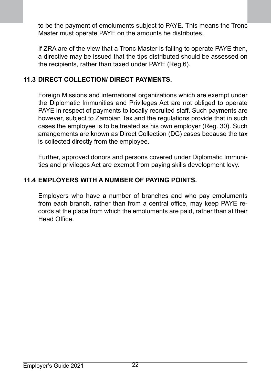to be the payment of emoluments subject to PAYE. This means the Tronc Master must operate PAYE on the amounts he distributes.

If ZRA are of the view that a Tronc Master is failing to operate PAYE then, a directive may be issued that the tips distributed should be assessed on the recipients, rather than taxed under PAYE (Reg.6).

#### **11.3 DIRECT COLLECTION/ DIRECT PAYMENTS.**

Foreign Missions and international organizations which are exempt under the Diplomatic Immunities and Privileges Act are not obliged to operate PAYE in respect of payments to locally recruited staff. Such payments are however, subject to Zambian Tax and the regulations provide that in such cases the employee is to be treated as his own employer (Reg. 30). Such arrangements are known as Direct Collection (DC) cases because the tax is collected directly from the employee.

Further, approved donors and persons covered under Diplomatic Immunities and privileges Act are exempt from paying skills development levy.

## **11.4 EMPLOYERS WITH A NUMBER OF PAYING POINTS.**

Employers who have a number of branches and who pay emoluments from each branch, rather than from a central office, may keep PAYE records at the place from which the emoluments are paid, rather than at their Head Office<sup>.</sup>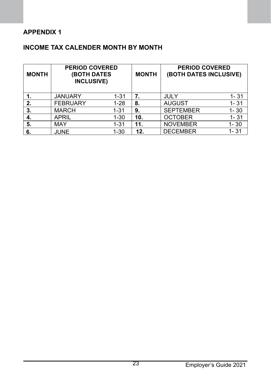# **APPENDIX 1**

# **INCOME TAX CALENDER MONTH BY MONTH**

| <b>MONTH</b> | <b>PERIOD COVERED</b><br><b>(BOTH DATES</b><br><b>INCLUSIVE)</b> |          | <b>MONTH</b> | <b>PERIOD COVERED</b><br>(BOTH DATES INCLUSIVE) |          |
|--------------|------------------------------------------------------------------|----------|--------------|-------------------------------------------------|----------|
|              | <b>JANUARY</b>                                                   | $1 - 31$ | 7.           | JULY                                            | $1 - 31$ |
| 2.           | <b>FEBRUARY</b>                                                  | $1-28$   | 8.           | <b>AUGUST</b>                                   | $1 - 31$ |
| 3.           | <b>MARCH</b>                                                     | $1 - 31$ | 9.           | <b>SEPTEMBER</b>                                | $1 - 30$ |
| 4.           | APRIL                                                            | $1 - 30$ | 10.          | <b>OCTOBER</b>                                  | $1 - 31$ |
| 5.           | MAY                                                              | $1 - 31$ | 11.          | <b>NOVEMBER</b>                                 | $1 - 30$ |
| 6.           | <b>JUNE</b>                                                      | $1 - 30$ | 12.          | <b>DECEMBER</b>                                 | 1-31     |